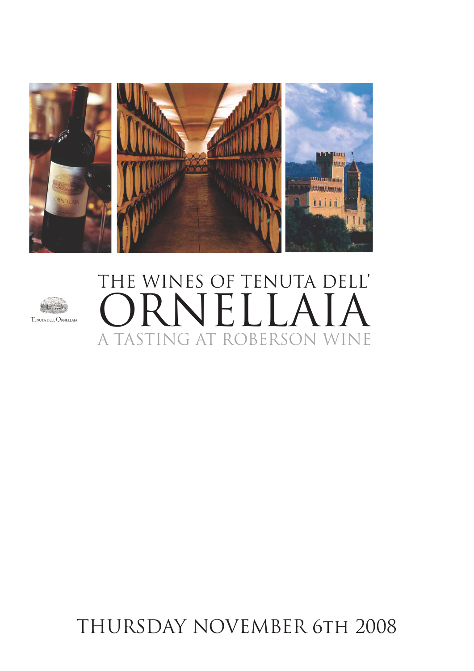



# THE WINES OF TENUTA DELL' **RIVELL** A TASTING AT ROBERSON WINE

### THURSDAY NOVEMBER 6TH 2008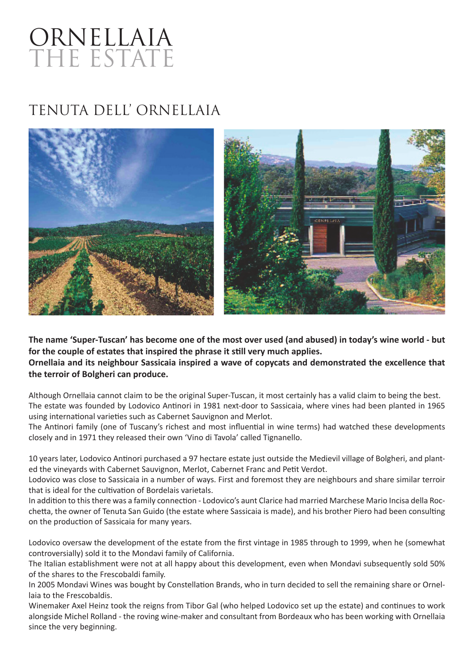## ORNELLAIA THE ESTATE

### TENUTA DELL' ORNELLAIA



**The name 'Super-Tuscan' has become one of the most over used (and abused) in today's wine world - but**  for the couple of estates that inspired the phrase it still very much applies. **Ornellaia and its neighbour Sassicaia inspired a wave of copycats and demonstrated the excellence that the terroir of Bolgheri can produce.**

Although Ornellaia cannot claim to be the original Super-Tuscan, it most certainly has a valid claim to being the best. The estate was founded by Lodovico Antinori in 1981 next-door to Sassicaia, where vines had been planted in 1965 using international varieties such as Cabernet Sauvignon and Merlot.

The Antinori family (one of Tuscany's richest and most influential in wine terms) had watched these developments closely and in 1971 they released their own 'Vino di Tavola' called Tignanello.

10 years later, Lodovico An�nori purchased a 97 hectare estate just outside the Medievil village of Bolgheri, and planted the vineyards with Cabernet Sauvignon, Merlot, Cabernet Franc and Petit Verdot.

Lodovico was close to Sassicaia in a number of ways. First and foremost they are neighbours and share similar terroir that is ideal for the cultivation of Bordelais varietals.

In addition to this there was a family connection - Lodovico's aunt Clarice had married Marchese Mario Incisa della Rocchetta, the owner of Tenuta San Guido (the estate where Sassicaia is made), and his brother Piero had been consulting on the production of Sassicaia for many years.

Lodovico oversaw the development of the estate from the first vintage in 1985 through to 1999, when he (somewhat controversially) sold it to the Mondavi family of California.

The Italian establishment were not at all happy about this development, even when Mondavi subsequently sold 50% of the shares to the Frescobaldi family.

In 2005 Mondavi Wines was bought by Constellation Brands, who in turn decided to sell the remaining share or Ornellaia to the Frescobaldis.

Winemaker Axel Heinz took the reigns from Tibor Gal (who helped Lodovico set up the estate) and continues to work alongside Michel Rolland - the roving wine-maker and consultant from Bordeaux who has been working with Ornellaia since the very beginning.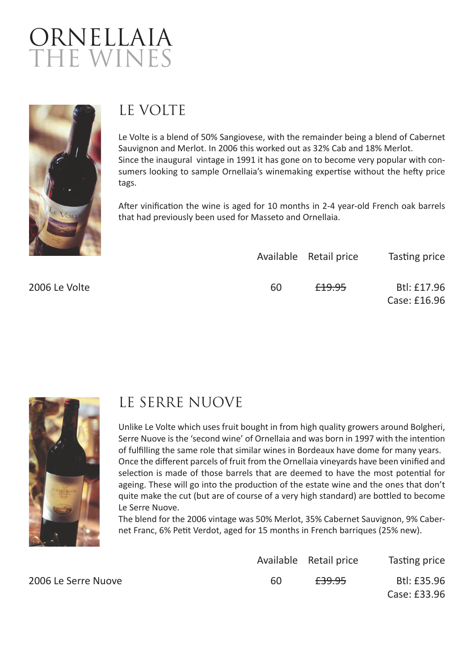



### LE VOLTE

Le Volte is a blend of 50% Sangiovese, with the remainder being a blend of Cabernet Sauvignon and Merlot. In 2006 this worked out as 32% Cab and 18% Merlot. Since the inaugural vintage in 1991 it has gone on to become very popular with consumers looking to sample Ornellaia's winemaking expertise without the hefty price tags.

After vinification the wine is aged for 10 months in 2-4 year-old French oak barrels that had previously been used for Masseto and Ornellaia.

| $\mathcal{L}(\mathcal{L})$ |    | Available Retail price | Tasting price |
|----------------------------|----|------------------------|---------------|
| 2006 Le Volte              | 60 | <del>£19.95</del>      | Btl: £17.96   |
|                            |    |                        | Case: £16.96  |



2006 Le Serre Nuove

#### LE SERRE NUOVE

Unlike Le Volte which uses fruit bought in from high quality growers around Bolgheri, Serre Nuove is the 'second wine' of Ornellaia and was born in 1997 with the intention of fulfilling the same role that similar wines in Bordeaux have dome for many years. Once the different parcels of fruit from the Ornellaia vineyards have been vinified and selection is made of those barrels that are deemed to have the most potential for ageing. These will go into the production of the estate wine and the ones that don't quite make the cut (but are of course of a very high standard) are bottled to become Le Serre Nuove.

The blend for the 2006 vintage was 50% Merlot, 35% Cabernet Sauvignon, 9% Cabernet Franc, 6% Petit Verdot, aged for 15 months in French barriques (25% new).

|    | Available Retail price | Tasting price |
|----|------------------------|---------------|
| 60 | <del>£39.95</del>      | Btl: £35.96   |
|    |                        | Case: £33.96  |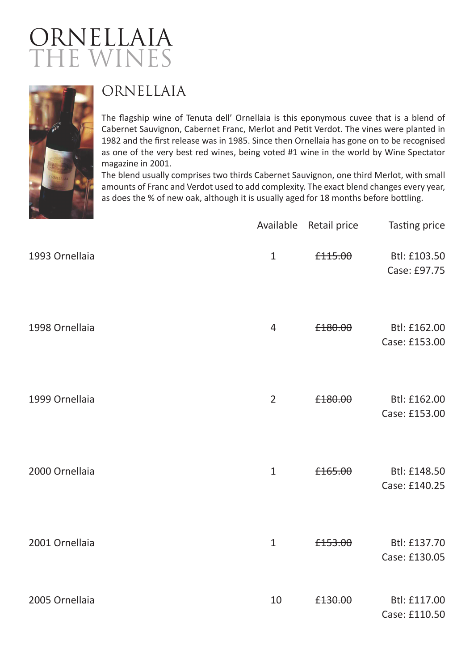### ORNELLAIA THE WINES



### ORNELLAIA

The flagship wine of Tenuta dell' Ornellaia is this eponymous cuvee that is a blend of Cabernet Sauvignon, Cabernet Franc, Merlot and Petit Verdot. The vines were planted in 1982 and the first release was in 1985. Since then Ornellaia has gone on to be recognised as one of the very best red wines, being voted #1 wine in the world by Wine Spectator magazine in 2001.

The blend usually comprises two thirds Cabernet Sauvignon, one third Merlot, with small amounts of Franc and Verdot used to add complexity. The exact blend changes every year, as does the % of new oak, although it is usually aged for 18 months before bottling.

|                | Available      | <b>Retail price</b> | Tasting price                 |
|----------------|----------------|---------------------|-------------------------------|
| 1993 Ornellaia | $\mathbf{1}$   | £115.00             | Btl: £103.50<br>Case: £97.75  |
| 1998 Ornellaia | $\overline{4}$ | £180.00             | Btl: £162.00<br>Case: £153.00 |
| 1999 Ornellaia | $\overline{2}$ | £180.00             | Btl: £162.00<br>Case: £153.00 |
| 2000 Ornellaia | $\mathbf{1}$   | £165.00             | Btl: £148.50<br>Case: £140.25 |
| 2001 Ornellaia | $\mathbf{1}$   | £153.00             | Btl: £137.70<br>Case: £130.05 |
| 2005 Ornellaia | 10             | £130.00             | Btl: £117.00<br>Case: £110.50 |